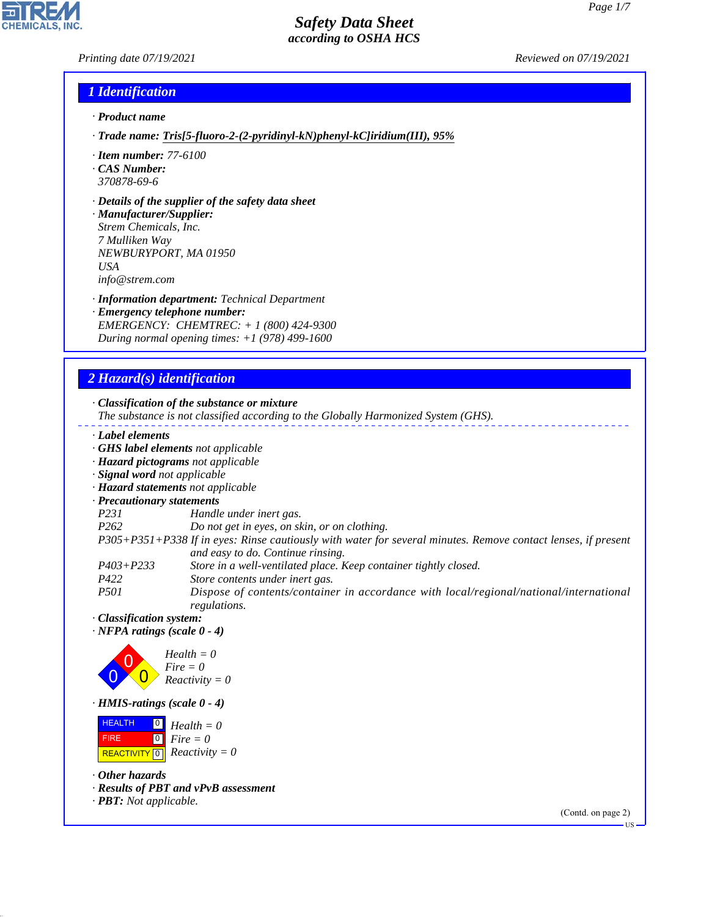*Printing date 07/19/2021 Reviewed on 07/19/2021*

**CHEMICALS.** 

## *1 Identification*

- *· Product name*
- *· Trade name: Tris[5-fluoro-2-(2-pyridinyl-kN)phenyl-kC]iridium(III), 95%*
- *· Item number: 77-6100*
- *· CAS Number: 370878-69-6*
- *· Details of the supplier of the safety data sheet*

*· Manufacturer/Supplier: Strem Chemicals, Inc. 7 Mulliken Way NEWBURYPORT, MA 01950 USA info@strem.com*

- *· Information department: Technical Department*
- *· Emergency telephone number: EMERGENCY: CHEMTREC: + 1 (800) 424-9300 During normal opening times: +1 (978) 499-1600*

## *2 Hazard(s) identification*

*· Classification of the substance or mixture*

- *The substance is not classified according to the Globally Harmonized System (GHS).*
- *· Label elements*
- *· GHS label elements not applicable*
- *· Hazard pictograms not applicable*
- *· Signal word not applicable*
- *· Hazard statements not applicable*
- *· Precautionary statements*
- *P231 Handle under inert gas.*
- *P262 Do not get in eyes, on skin, or on clothing.*
- *P305+P351+P338 If in eyes: Rinse cautiously with water for several minutes. Remove contact lenses, if present and easy to do. Continue rinsing.*
- *P403+P233 Store in a well-ventilated place. Keep container tightly closed.*
- *P422 Store contents under inert gas.*
- *P501 Dispose of contents/container in accordance with local/regional/national/international regulations.*
- *· Classification system:*
- *· NFPA ratings (scale 0 4)*



*· HMIS-ratings (scale 0 - 4)*

 HEALTH FIRE  $\boxed{\text{REACTIVITY} \boxed{0}}$  Reactivity = 0  $\boxed{0}$  $\boxed{0}$ *Health = 0 Fire = 0*

*· Other hazards*

44.1.1

- *· Results of PBT and vPvB assessment*
- *· PBT: Not applicable.*

(Contd. on page 2)

US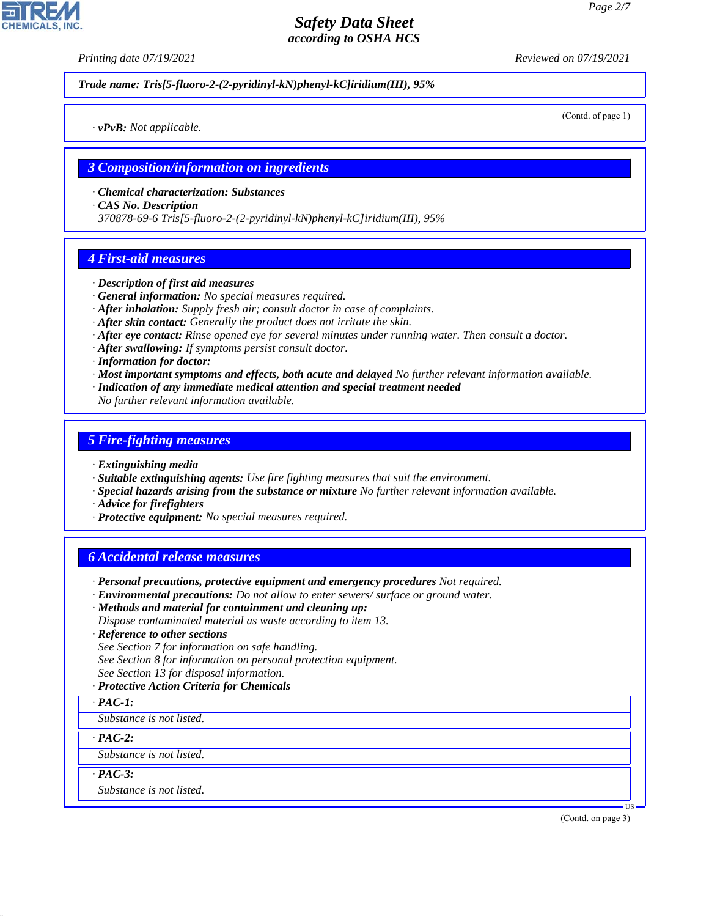*Printing date 07/19/2021 Reviewed on 07/19/2021*

*Trade name: Tris[5-fluoro-2-(2-pyridinyl-kN)phenyl-kC]iridium(III), 95%*

(Contd. of page 1)

*· vPvB: Not applicable.*

### *3 Composition/information on ingredients*

- *· Chemical characterization: Substances*
- *· CAS No. Description*

*370878-69-6 Tris[5-fluoro-2-(2-pyridinyl-kN)phenyl-kC]iridium(III), 95%*

## *4 First-aid measures*

- *· Description of first aid measures*
- *· General information: No special measures required.*
- *· After inhalation: Supply fresh air; consult doctor in case of complaints.*
- *· After skin contact: Generally the product does not irritate the skin.*
- *· After eye contact: Rinse opened eye for several minutes under running water. Then consult a doctor.*
- *· After swallowing: If symptoms persist consult doctor.*
- *· Information for doctor:*
- *· Most important symptoms and effects, both acute and delayed No further relevant information available.*
- *· Indication of any immediate medical attention and special treatment needed*
- *No further relevant information available.*

## *5 Fire-fighting measures*

- *· Extinguishing media*
- *· Suitable extinguishing agents: Use fire fighting measures that suit the environment.*
- *· Special hazards arising from the substance or mixture No further relevant information available.*
- *· Advice for firefighters*
- *· Protective equipment: No special measures required.*

## *6 Accidental release measures*

- *· Personal precautions, protective equipment and emergency procedures Not required.*
- *· Environmental precautions: Do not allow to enter sewers/ surface or ground water.*
- *· Methods and material for containment and cleaning up:*
- *Dispose contaminated material as waste according to item 13.*
- *· Reference to other sections*
- *See Section 7 for information on safe handling.*
- *See Section 8 for information on personal protection equipment.*
- *See Section 13 for disposal information.*
- *· Protective Action Criteria for Chemicals*
- *· PAC-1:*
- *Substance is not listed.*

*· PAC-2:*

*Substance is not listed.*

*· PAC-3:*

44.1.1

*Substance is not listed.*

(Contd. on page 3)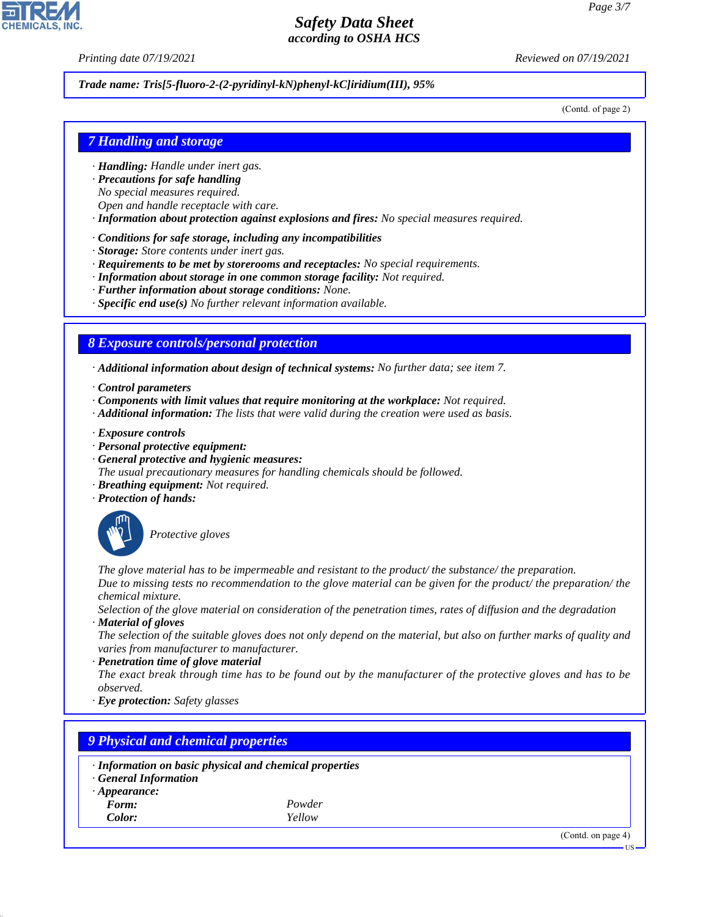*Printing date 07/19/2021 Reviewed on 07/19/2021*

#### *Trade name: Tris[5-fluoro-2-(2-pyridinyl-kN)phenyl-kC]iridium(III), 95%*

(Contd. of page 2)

### *7 Handling and storage*

- *· Handling: Handle under inert gas.*
- *· Precautions for safe handling*
- *No special measures required.*
- *Open and handle receptacle with care.*
- *· Information about protection against explosions and fires: No special measures required.*
- *· Conditions for safe storage, including any incompatibilities*
- *· Storage: Store contents under inert gas.*
- *· Requirements to be met by storerooms and receptacles: No special requirements.*
- *· Information about storage in one common storage facility: Not required.*
- *· Further information about storage conditions: None.*
- *· Specific end use(s) No further relevant information available.*

### *8 Exposure controls/personal protection*

*· Additional information about design of technical systems: No further data; see item 7.*

- *· Control parameters*
- *· Components with limit values that require monitoring at the workplace: Not required.*
- *· Additional information: The lists that were valid during the creation were used as basis.*
- *· Exposure controls*
- *· Personal protective equipment:*
- *· General protective and hygienic measures:*
- *The usual precautionary measures for handling chemicals should be followed.*
- *· Breathing equipment: Not required.*
- *· Protection of hands:*



44.1.1

\_S*Protective gloves*

*The glove material has to be impermeable and resistant to the product/ the substance/ the preparation. Due to missing tests no recommendation to the glove material can be given for the product/ the preparation/ the chemical mixture.*

*Selection of the glove material on consideration of the penetration times, rates of diffusion and the degradation · Material of gloves*

*The selection of the suitable gloves does not only depend on the material, but also on further marks of quality and varies from manufacturer to manufacturer.*

*· Penetration time of glove material*

*The exact break through time has to be found out by the manufacturer of the protective gloves and has to be observed.*

*· Eye protection: Safety glasses*

| · Information on basic physical and chemical properties |        |  |  |
|---------------------------------------------------------|--------|--|--|
| · General Information                                   |        |  |  |
| $\cdot$ Appearance:                                     |        |  |  |
| Form:                                                   | Powder |  |  |
| Color:                                                  | Yellow |  |  |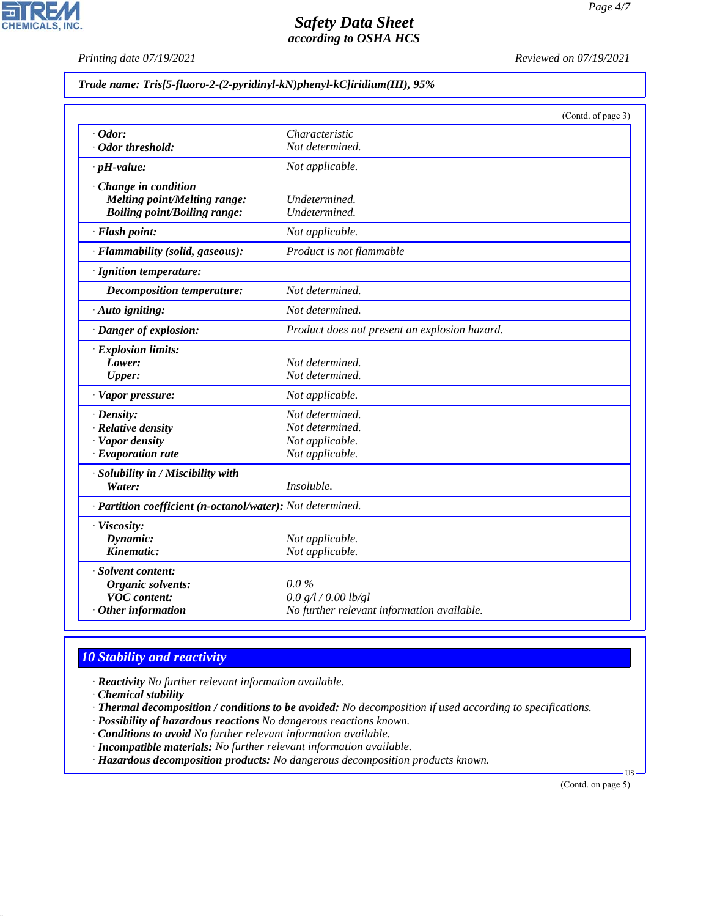*Printing date 07/19/2021 Reviewed on 07/19/2021*

#### *Trade name: Tris[5-fluoro-2-(2-pyridinyl-kN)phenyl-kC]iridium(III), 95%*

|                                                            |                                               | (Contd. of page 3) |
|------------------------------------------------------------|-----------------------------------------------|--------------------|
| $\cdot$ Odor:                                              | Characteristic                                |                    |
| · Odor threshold:                                          | Not determined.                               |                    |
| $\cdot$ pH-value:                                          | Not applicable.                               |                    |
| Change in condition                                        |                                               |                    |
| <b>Melting point/Melting range:</b>                        | Undetermined.                                 |                    |
| <b>Boiling point/Boiling range:</b>                        | Undetermined.                                 |                    |
| · Flash point:                                             | Not applicable.                               |                    |
| · Flammability (solid, gaseous):                           | Product is not flammable                      |                    |
| · Ignition temperature:                                    |                                               |                    |
| Decomposition temperature:                                 | Not determined.                               |                    |
| · Auto igniting:                                           | Not determined.                               |                    |
| · Danger of explosion:                                     | Product does not present an explosion hazard. |                    |
| · Explosion limits:                                        |                                               |                    |
| Lower:                                                     | Not determined.                               |                    |
| <b>Upper:</b>                                              | Not determined.                               |                    |
| · Vapor pressure:                                          | Not applicable.                               |                    |
| $\cdot$ Density:                                           | Not determined.                               |                    |
| · Relative density                                         | Not determined.                               |                    |
| · Vapor density                                            | Not applicable.                               |                    |
| $\cdot$ Evaporation rate                                   | Not applicable.                               |                    |
| · Solubility in / Miscibility with                         |                                               |                    |
| Water:                                                     | Insoluble.                                    |                    |
| · Partition coefficient (n-octanol/water): Not determined. |                                               |                    |
| · Viscosity:                                               |                                               |                    |
| Dynamic:                                                   | Not applicable.                               |                    |
| Kinematic:                                                 | Not applicable.                               |                    |
| · Solvent content:                                         |                                               |                    |
| Organic solvents:                                          | $0.0\%$                                       |                    |
| <b>VOC</b> content:                                        | 0.0 g/l / 0.00 lb/gl                          |                    |
| Other information                                          | No further relevant information available.    |                    |

## *10 Stability and reactivity*

*· Reactivity No further relevant information available.*

*· Chemical stability*

44.1.1

*· Thermal decomposition / conditions to be avoided: No decomposition if used according to specifications.*

- *· Possibility of hazardous reactions No dangerous reactions known.*
- *· Conditions to avoid No further relevant information available.*
- *· Incompatible materials: No further relevant information available.*

*· Hazardous decomposition products: No dangerous decomposition products known.*

(Contd. on page 5)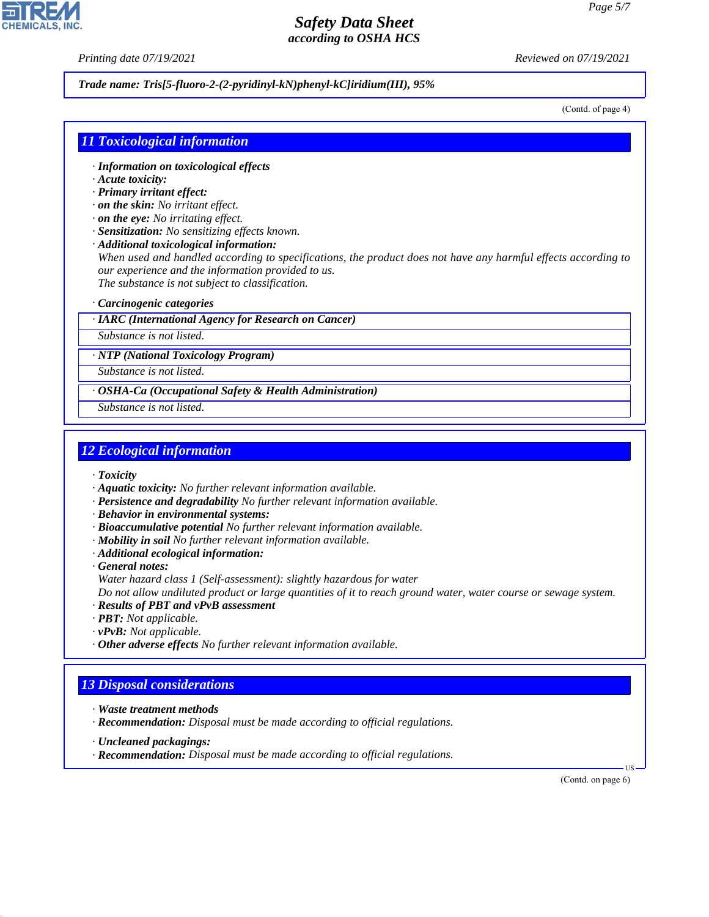*Printing date 07/19/2021 Reviewed on 07/19/2021*

#### *Trade name: Tris[5-fluoro-2-(2-pyridinyl-kN)phenyl-kC]iridium(III), 95%*

(Contd. of page 4)

### *11 Toxicological information*

- *· Information on toxicological effects*
- *· Acute toxicity:*
- *· Primary irritant effect:*
- *· on the skin: No irritant effect.*
- *· on the eye: No irritating effect.*
- *· Sensitization: No sensitizing effects known.*
- *· Additional toxicological information:*

*When used and handled according to specifications, the product does not have any harmful effects according to our experience and the information provided to us. The substance is not subject to classification.*

### *· Carcinogenic categories*

*· IARC (International Agency for Research on Cancer)*

*Substance is not listed.*

*· NTP (National Toxicology Program)*

*Substance is not listed.*

*· OSHA-Ca (Occupational Safety & Health Administration)*

*Substance is not listed.*

## *12 Ecological information*

*· Toxicity*

- *· Aquatic toxicity: No further relevant information available.*
- *· Persistence and degradability No further relevant information available.*
- *· Behavior in environmental systems:*
- *· Bioaccumulative potential No further relevant information available.*
- *· Mobility in soil No further relevant information available.*
- *· Additional ecological information:*
- *· General notes:*
- *Water hazard class 1 (Self-assessment): slightly hazardous for water*

*Do not allow undiluted product or large quantities of it to reach ground water, water course or sewage system.*

- *· Results of PBT and vPvB assessment*
- *· PBT: Not applicable.*
- *· vPvB: Not applicable.*
- *· Other adverse effects No further relevant information available.*

## *13 Disposal considerations*

- *· Waste treatment methods*
- *· Recommendation: Disposal must be made according to official regulations.*
- *· Uncleaned packagings:*

44.1.1

*· Recommendation: Disposal must be made according to official regulations.*

(Contd. on page 6)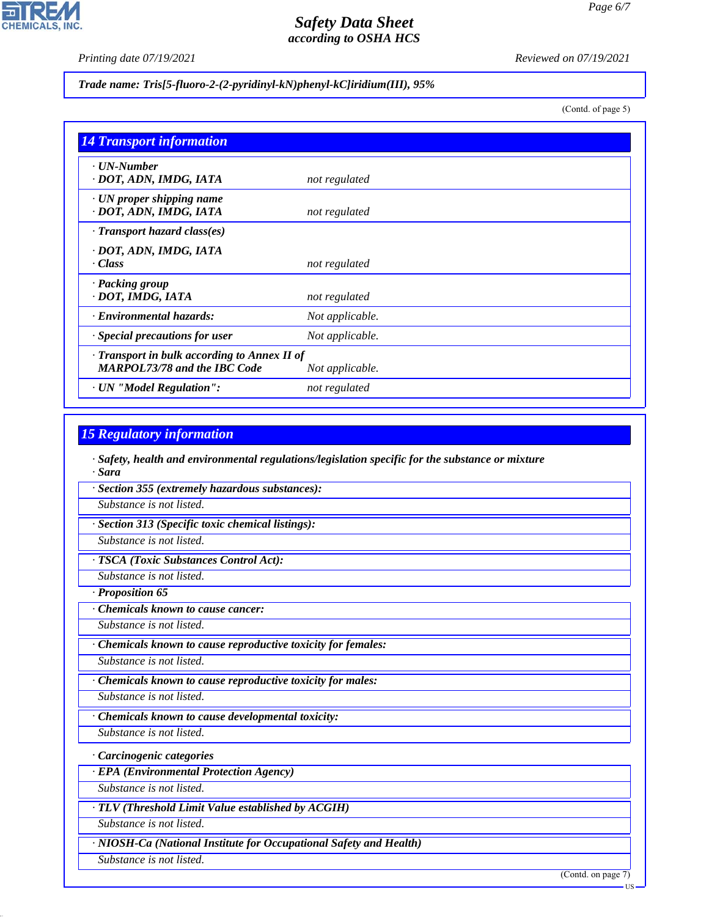*Printing date 07/19/2021 Reviewed on 07/19/2021*

### *Trade name: Tris[5-fluoro-2-(2-pyridinyl-kN)phenyl-kC]iridium(III), 95%*

(Contd. of page 5)

*Page 6/7*

| <b>14 Transport information</b>                           |                 |
|-----------------------------------------------------------|-----------------|
| $\cdot$ UN-Number<br>· DOT, ADN, IMDG, IATA               | not regulated   |
| $\cdot$ UN proper shipping name<br>· DOT, ADN, IMDG, IATA | not regulated   |
| $\cdot$ Transport hazard class(es)                        |                 |
| · DOT, ADN, IMDG, IATA                                    |                 |
| · Class                                                   | not regulated   |
| · Packing group                                           |                 |
| · DOT, IMDG, IATA                                         | not regulated   |
| · Environmental hazards:                                  | Not applicable. |
| · Special precautions for user                            | Not applicable. |
| · Transport in bulk according to Annex II of              |                 |
| <b>MARPOL73/78 and the IBC Code</b>                       | Not applicable. |
| · UN "Model Regulation":                                  | not regulated   |

## *15 Regulatory information*

*· Safety, health and environmental regulations/legislation specific for the substance or mixture · Sara*

*· Section 355 (extremely hazardous substances):*

*Substance is not listed.*

*· Section 313 (Specific toxic chemical listings):*

*Substance is not listed.*

*· TSCA (Toxic Substances Control Act):*

*Substance is not listed.*

*· Proposition 65*

*· Chemicals known to cause cancer:*

*Substance is not listed.*

*· Chemicals known to cause reproductive toxicity for females:*

*Substance is not listed.*

*· Chemicals known to cause reproductive toxicity for males:*

*Substance is not listed.*

*· Chemicals known to cause developmental toxicity:*

*Substance is not listed.*

*· Carcinogenic categories*

*· EPA (Environmental Protection Agency)*

*Substance is not listed.*

*· TLV (Threshold Limit Value established by ACGIH)*

*Substance is not listed.*

*· NIOSH-Ca (National Institute for Occupational Safety and Health)*

*Substance is not listed.*

44.1.1

(Contd. on page 7)